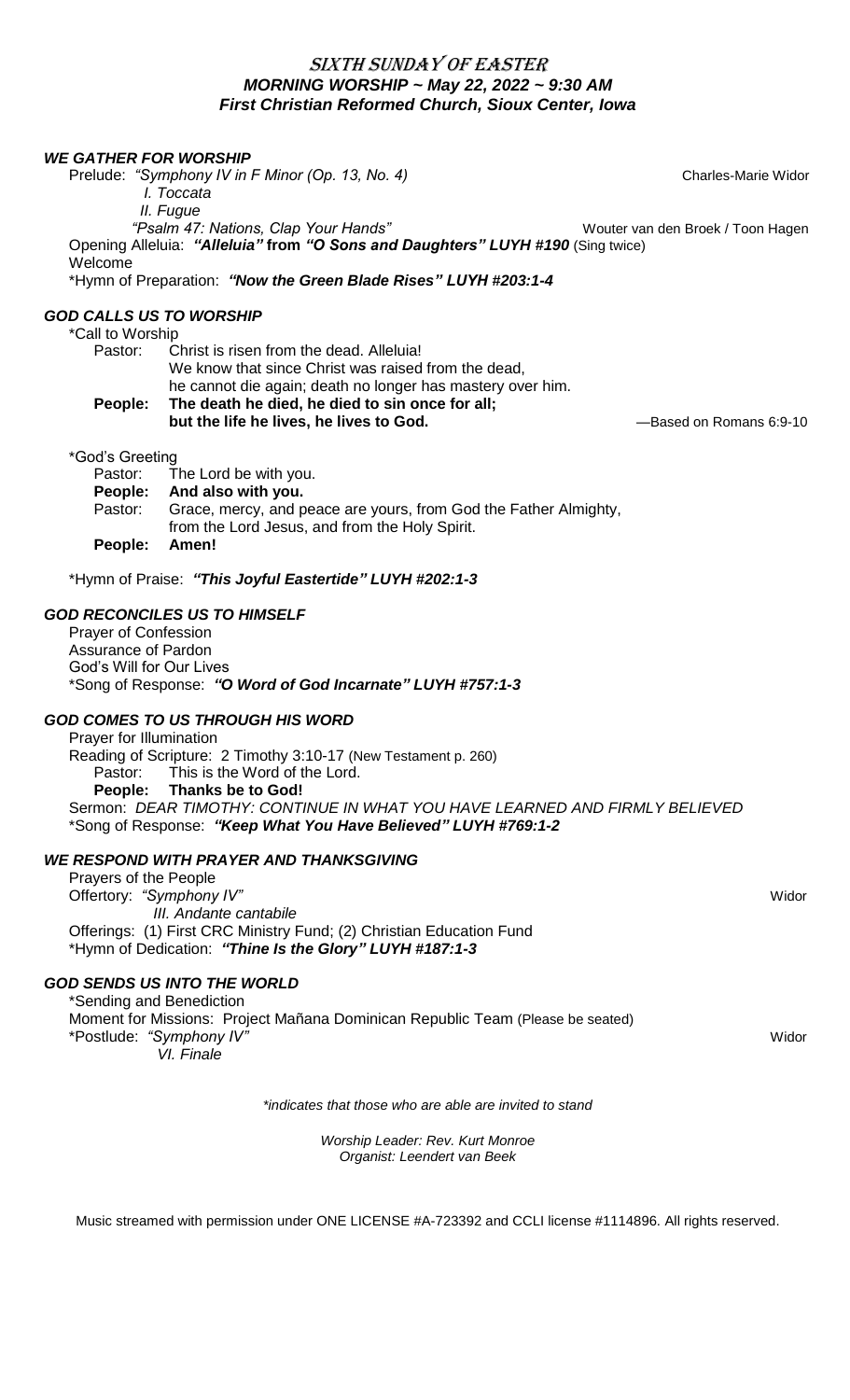# SIXTH SUNDAY OF EASTER *MORNING WORSHIP ~ May 22, 2022 ~ 9:30 AM* *First Christian Reformed Church, Sioux Center, Iowa*

#### *WE GATHER FOR WORSHIP*

Prelude: "Symphony IV in F Minor (Op. 13, No. 4) **Prelude: "Symphony IV in F Minor (Op. 13, No. 4) Charles-Marie Widor** 

*I. Toccata*

*II. Fugue*

*"Psalm 47: Nations, Clap Your Hands"* Wouter van den Broek / Toon Hagen Opening Alleluia: *"Alleluia"* **from** *"O Sons and Daughters" LUYH #190* (Sing twice) Welcome

\*Hymn of Preparation: *"Now the Green Blade Rises" LUYH #203:1-4*

#### *GOD CALLS US TO WORSHIP*

\*Call to Worship

| People: | The death he died, he died to sin once for all;            |
|---------|------------------------------------------------------------|
|         | he cannot die again; death no longer has mastery over him. |
|         | We know that since Christ was raised from the dead,        |
| Pastor: | Christ is risen from the dead. Alleluia!                   |
|         |                                                            |

**but the life he lives, he lives to God.** —Based on Romans 6:9-10

\*God's Greeting

|         | Pastor: The Lord be with you.                                    |
|---------|------------------------------------------------------------------|
|         | People: And also with you.                                       |
| Pastor: | Grace, mercy, and peace are yours, from God the Father Almighty, |
|         | from the Lord Jesus, and from the Holy Spirit.                   |
| People: | Amen!                                                            |

\*Hymn of Praise: *"This Joyful Eastertide" LUYH #202:1-3*

#### *GOD RECONCILES US TO HIMSELF*

Prayer of Confession Assurance of Pardon God's Will for Our Lives \*Song of Response: *"O Word of God Incarnate" LUYH #757:1-3*

### *GOD COMES TO US THROUGH HIS WORD*

Prayer for Illumination Reading of Scripture: 2 Timothy 3:10-17 (New Testament p. 260) Pastor: This is the Word of the Lord. **People: Thanks be to God!** Sermon: *DEAR TIMOTHY: CONTINUE IN WHAT YOU HAVE LEARNED AND FIRMLY BELIEVED* \*Song of Response: *"Keep What You Have Believed" LUYH #769:1-2*

### *WE RESPOND WITH PRAYER AND THANKSGIVING*

Prayers of the People Offertory: "Symphony IV" **Widor**  *III. Andante cantabile* Offerings: (1) First CRC Ministry Fund; (2) Christian Education Fund \*Hymn of Dedication: *"Thine Is the Glory" LUYH #187:1-3*

### *GOD SENDS US INTO THE WORLD*

\*Sending and Benediction Moment for Missions: Project Mañana Dominican Republic Team (Please be seated) \*Postlude: "Symphony IV" **Widor Widor Widor Widor Widor Widor Widor Widor Widor Widor Widor Widor**  *VI. Finale* 

*\*indicates that those who are able are invited to stand*

*Worship Leader: Rev. Kurt Monroe Organist: Leendert van Beek*

Music streamed with permission under ONE LICENSE #A-723392 and CCLI license #1114896. All rights reserved.